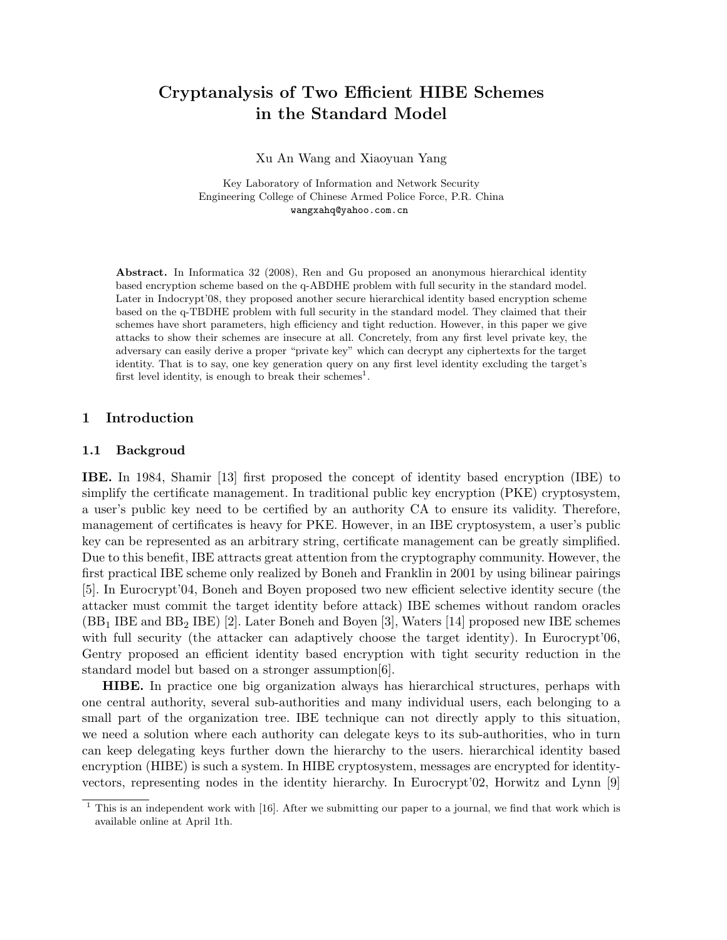# Cryptanalysis of Two Efficient HIBE Schemes in the Standard Model

Xu An Wang and Xiaoyuan Yang

Key Laboratory of Information and Network Security Engineering College of Chinese Armed Police Force, P.R. China wangxahq@yahoo.com.cn

Abstract. In Informatica 32 (2008), Ren and Gu proposed an anonymous hierarchical identity based encryption scheme based on the q-ABDHE problem with full security in the standard model. Later in Indocrypt'08, they proposed another secure hierarchical identity based encryption scheme based on the q-TBDHE problem with full security in the standard model. They claimed that their schemes have short parameters, high efficiency and tight reduction. However, in this paper we give attacks to show their schemes are insecure at all. Concretely, from any first level private key, the adversary can easily derive a proper "private key" which can decrypt any ciphertexts for the target identity. That is to say, one key generation query on any first level identity excluding the target's first level identity, is enough to break their schemes<sup>1</sup>.

#### 1 Introduction

#### 1.1 Backgroud

IBE. In 1984, Shamir [13] first proposed the concept of identity based encryption (IBE) to simplify the certificate management. In traditional public key encryption (PKE) cryptosystem, a user's public key need to be certified by an authority CA to ensure its validity. Therefore, management of certificates is heavy for PKE. However, in an IBE cryptosystem, a user's public key can be represented as an arbitrary string, certificate management can be greatly simplified. Due to this benefit, IBE attracts great attention from the cryptography community. However, the first practical IBE scheme only realized by Boneh and Franklin in 2001 by using bilinear pairings [5]. In Eurocrypt'04, Boneh and Boyen proposed two new efficient selective identity secure (the attacker must commit the target identity before attack) IBE schemes without random oracles (BB<sup>1</sup> IBE and BB<sup>2</sup> IBE) [2]. Later Boneh and Boyen [3], Waters [14] proposed new IBE schemes with full security (the attacker can adaptively choose the target identity). In Eurocrypt'06, Gentry proposed an efficient identity based encryption with tight security reduction in the standard model but based on a stronger assumption[6].

HIBE. In practice one big organization always has hierarchical structures, perhaps with one central authority, several sub-authorities and many individual users, each belonging to a small part of the organization tree. IBE technique can not directly apply to this situation, we need a solution where each authority can delegate keys to its sub-authorities, who in turn can keep delegating keys further down the hierarchy to the users. hierarchical identity based encryption (HIBE) is such a system. In HIBE cryptosystem, messages are encrypted for identityvectors, representing nodes in the identity hierarchy. In Eurocrypt'02, Horwitz and Lynn [9]

 $1$  This is an independent work with [16]. After we submitting our paper to a journal, we find that work which is available online at April 1th.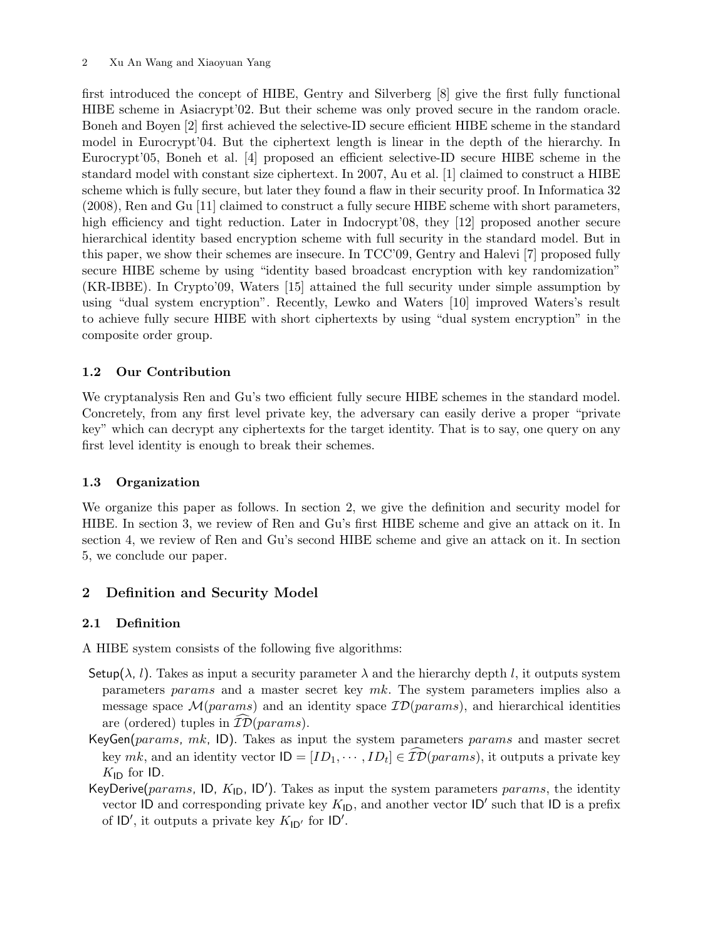first introduced the concept of HIBE, Gentry and Silverberg [8] give the first fully functional HIBE scheme in Asiacrypt'02. But their scheme was only proved secure in the random oracle. Boneh and Boyen [2] first achieved the selective-ID secure efficient HIBE scheme in the standard model in Eurocrypt'04. But the ciphertext length is linear in the depth of the hierarchy. In Eurocrypt'05, Boneh et al. [4] proposed an efficient selective-ID secure HIBE scheme in the standard model with constant size ciphertext. In 2007, Au et al. [1] claimed to construct a HIBE scheme which is fully secure, but later they found a flaw in their security proof. In Informatica 32 (2008), Ren and Gu [11] claimed to construct a fully secure HIBE scheme with short parameters, high efficiency and tight reduction. Later in Indocrypt'08, they [12] proposed another secure hierarchical identity based encryption scheme with full security in the standard model. But in this paper, we show their schemes are insecure. In TCC'09, Gentry and Halevi [7] proposed fully secure HIBE scheme by using "identity based broadcast encryption with key randomization" (KR-IBBE). In Crypto'09, Waters [15] attained the full security under simple assumption by using "dual system encryption". Recently, Lewko and Waters [10] improved Waters's result to achieve fully secure HIBE with short ciphertexts by using "dual system encryption" in the composite order group.

# 1.2 Our Contribution

We cryptanalysis Ren and Gu's two efficient fully secure HIBE schemes in the standard model. Concretely, from any first level private key, the adversary can easily derive a proper "private key" which can decrypt any ciphertexts for the target identity. That is to say, one query on any first level identity is enough to break their schemes.

# 1.3 Organization

We organize this paper as follows. In section 2, we give the definition and security model for HIBE. In section 3, we review of Ren and Gu's first HIBE scheme and give an attack on it. In section 4, we review of Ren and Gu's second HIBE scheme and give an attack on it. In section 5, we conclude our paper.

# 2 Definition and Security Model

# 2.1 Definition

A HIBE system consists of the following five algorithms:

- Setup( $\lambda$ , l). Takes as input a security parameter  $\lambda$  and the hierarchy depth l, it outputs system parameters params and a master secret key mk. The system parameters implies also a message space  $\mathcal{M}(params)$  and an identity space  $\mathcal{ID}(params)$ , and hierarchical identities are (ordered) tuples in  $\mathcal{ID}(params)$ .
- KeyGen(params, mk, ID). Takes as input the system parameters params and master secret key  $mk$ , and an identity vector  $\mathsf{ID} = [ID_1, \cdots, ID_t] \in \mathcal{ID}(params)$ , it outputs a private key  $K_{\text{ID}}$  for ID.
- KeyDerive( $params$ , ID,  $K<sub>1D</sub>$ , ID'). Takes as input the system parameters  $params$ , the identity vector ID and corresponding private key  $K_{\text{ID}}$ , and another vector ID' such that ID is a prefix of  $ID'$ , it outputs a private key  $K_{ID'}$  for  $ID'$ .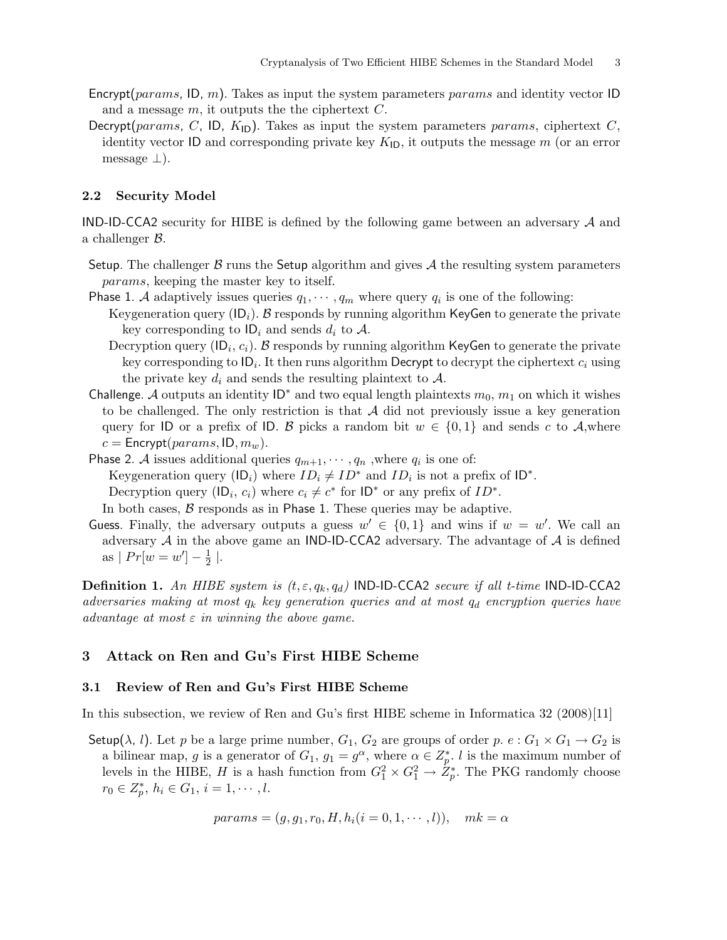- Encrypt(params, ID, m). Takes as input the system parameters params and identity vector ID and a message  $m$ , it outputs the the ciphertext  $C$ .
- Decrypt(params, C, ID,  $K_{\text{ID}}$ ). Takes as input the system parameters params, ciphertext C, identity vector ID and corresponding private key  $K_{\text{ID}}$ , it outputs the message m (or an error message  $\perp$ ).

#### 2.2 Security Model

IND-ID-CCA2 security for HIBE is defined by the following game between an adversary  $A$  and a challenger B.

- Setup. The challenger  $\beta$  runs the Setup algorithm and gives  $\mathcal A$  the resulting system parameters params, keeping the master key to itself.
- Phase 1. A adaptively issues queries  $q_1, \dots, q_m$  where query  $q_i$  is one of the following:
	- Keygeneration query ( $\mathsf{ID}_i$ ). B responds by running algorithm KeyGen to generate the private key corresponding to  $\mathsf{ID}_i$  and sends  $d_i$  to  $\mathcal{A}$ .
		- Decryption query (ID<sub>i</sub>,  $c_i$ ). B responds by running algorithm KeyGen to generate the private key corresponding to ID $_i$ . It then runs algorithm Decrypt to decrypt the ciphertext  $c_i$  using the private key  $d_i$  and sends the resulting plaintext to  $A$ .
- Challenge. A outputs an identity  $ID^*$  and two equal length plaintexts  $m_0$ ,  $m_1$  on which it wishes to be challenged. The only restriction is that  $A$  did not previously issue a key generation query for ID or a prefix of ID. B picks a random bit  $w \in \{0,1\}$  and sends c to A,where  $c =$  Encrypt( $params$ , ID,  $m_w$ ).
- Phase 2. A issues additional queries  $q_{m+1}, \dots, q_n$ , where  $q_i$  is one of: Keygeneration query ( $\mathsf{ID}_i$ ) where  $ID_i \neq ID^*$  and  $ID_i$  is not a prefix of  $\mathsf{ID}^*$ . Decryption query  $(\mathsf{ID}_i, c_i)$  where  $c_i \neq c^*$  for  $\mathsf{ID}^*$  or any prefix of  $ID^*$ .

In both cases,  $\beta$  responds as in Phase 1. These queries may be adaptive.

Guess. Finally, the adversary outputs a guess  $w' \in \{0,1\}$  and wins if  $w = w'$ . We call an adversary  $A$  in the above game an IND-ID-CCA2 adversary. The advantage of  $A$  is defined as  $| Pr[w = w'] - \frac{1}{2}$  $\frac{1}{2}$  |.

**Definition 1.** An HIBE system is  $(t, \varepsilon, q_k, q_d)$  IND-ID-CCA2 secure if all t-time IND-ID-CCA2 adversaries making at most  $q_k$  key generation queries and at most  $q_d$  encryption queries have advantage at most  $\varepsilon$  in winning the above game.

### 3 Attack on Ren and Gu's First HIBE Scheme

#### 3.1 Review of Ren and Gu's First HIBE Scheme

In this subsection, we review of Ren and Gu's first HIBE scheme in Informatica 32 (2008)[11]

Setup( $\lambda$ , l). Let p be a large prime number,  $G_1$ ,  $G_2$  are groups of order p.  $e: G_1 \times G_1 \rightarrow G_2$  is a bilinear map, g is a generator of  $G_1$ ,  $g_1 = g^{\alpha}$ , where  $\alpha \in \mathbb{Z}_p^*$ . l is the maximum number of levels in the HIBE, H is a hash function from  $G_1^2 \times G_1^2 \to Z_p^*$ . The PKG randomly choose  $r_0 \in Z_p^*, h_i \in G_1, i = 1, \cdots, l.$ 

$$
params = (g, g_1, r_0, H, h_i (i = 0, 1, \dots, l)), \quad mk = \alpha
$$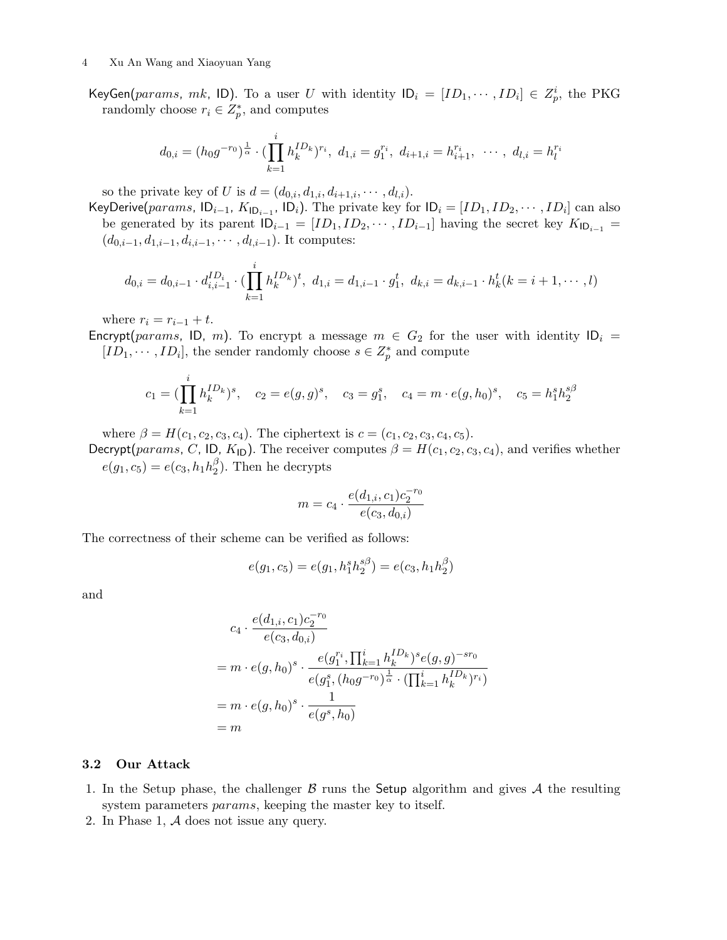KeyGen(params, mk, ID). To a user U with identity  $ID_i = [ID_1, \cdots, ID_i] \in Z_p^i$ , the PKG randomly choose  $r_i \in Z_p^*$ , and computes

$$
d_{0,i} = (h_0 g^{-r_0})^{\frac{1}{\alpha}} \cdot (\prod_{k=1}^i h_k^{ID_k})^{r_i}, \ d_{1,i} = g_1^{r_i}, \ d_{i+1,i} = h_{i+1}^{r_i}, \ \cdots, \ d_{l,i} = h_l^{r_i}
$$

so the private key of U is  $d = (d_{0,i}, d_{1,i}, d_{i+1,i}, \cdots, d_{l,i}).$ 

KeyDerive(params,  $ID_{i-1}$ ,  $K_{ID_{i-1}}$ ,  $ID_i$ ). The private key for  $ID_i = [ID_1, ID_2, \cdots, ID_i]$  can also be generated by its parent  $ID_{i-1} = [ID_1, ID_2, \cdots, ID_{i-1}]$  having the secret key  $K_{ID_{i-1}} =$  $(d_{0,i-1}, d_{1,i-1}, d_{i,i-1}, \cdots, d_{l,i-1})$ . It computes:

$$
d_{0,i} = d_{0,i-1} \cdot d_{i,i-1}^{ID_i} \cdot (\prod_{k=1}^i h_k^{ID_k})^t, \ d_{1,i} = d_{1,i-1} \cdot g_1^t, \ d_{k,i} = d_{k,i-1} \cdot h_k^t (k = i+1, \cdots, l)
$$

where  $r_i = r_{i-1} + t$ .

Encrypt(params, ID, m). To encrypt a message  $m \in G_2$  for the user with identity  $ID_i$  =  $[ID_1, \cdots, ID_i]$ , the sender randomly choose  $s \in \mathbb{Z}_p^*$  and compute

$$
c_1 = (\prod_{k=1}^i h_k^{ID_k})^s
$$
,  $c_2 = e(g, g)^s$ ,  $c_3 = g_1^s$ ,  $c_4 = m \cdot e(g, h_0)^s$ ,  $c_5 = h_1^s h_2^{s\beta}$ 

where  $\beta = H(c_1, c_2, c_3, c_4)$ . The ciphertext is  $c = (c_1, c_2, c_3, c_4, c_5)$ .

Decrypt(params, C, ID,  $K_{\text{ID}}$ ). The receiver computes  $\beta = H(c_1, c_2, c_3, c_4)$ , and verifies whether  $e(g_1, c_5) = e(c_3, h_1 h_2^{\beta})$  $2<sup>0</sup>$ ). Then he decrypts

$$
m = c_4 \cdot \frac{e(d_{1,i}, c_1)c_2^{-r_0}}{e(c_3, d_{0,i})}
$$

The correctness of their scheme can be verified as follows:

$$
e(g_1, c_5) = e(g_1, h_1^s h_2^{s\beta}) = e(c_3, h_1 h_2^{\beta})
$$

and

$$
c_4 \cdot \frac{e(d_{1,i}, c_1)c_2^{-r_0}}{e(c_3, d_{0,i})}
$$
  
=  $m \cdot e(g, h_0)^s \cdot \frac{e(g_1^{r_i}, \prod_{k=1}^i h_k^{ID_k})^s e(g, g)^{-sr_0}}{e(g_1^s, (h_0g^{-r_0})^{\frac{1}{\alpha}} \cdot (\prod_{k=1}^i h_k^{ID_k})^{r_i})}$   
=  $m \cdot e(g, h_0)^s \cdot \frac{1}{e(g^s, h_0)}$   
=  $m$ 

### 3.2 Our Attack

- 1. In the Setup phase, the challenger  $\beta$  runs the Setup algorithm and gives  $\mathcal A$  the resulting system parameters *params*, keeping the master key to itself.
- 2. In Phase 1, A does not issue any query.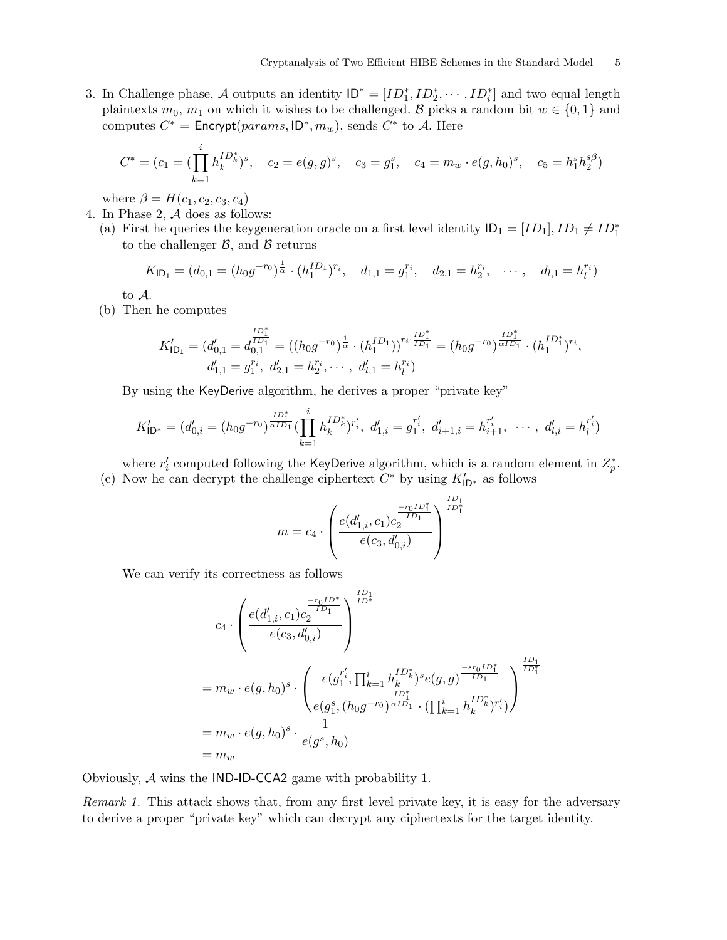3. In Challenge phase, A outputs an identity  $ID^* = [ID_1^*, ID_2^*, \cdots, ID_i^*]$  and two equal length plaintexts  $m_0$ ,  $m_1$  on which it wishes to be challenged. B picks a random bit  $w \in \{0, 1\}$  and computes  $C^* =$  Encrypt( $params$ , ID<sup>\*</sup>,  $m_w$ ), sends  $C^*$  to A. Here

$$
C^* = (c_1 = (\prod_{k=1}^i h_k^{ID_k^*})^s, \quad c_2 = e(g, g)^s, \quad c_3 = g_1^s, \quad c_4 = m_w \cdot e(g, h_0)^s, \quad c_5 = h_1^s h_2^{s\beta})
$$

where  $\beta = H(c_1, c_2, c_3, c_4)$ 

- 4. In Phase 2, A does as follows:
	- (a) First he queries the keygeneration oracle on a first level identity  $ID_1 = [ID_1], ID_1 \neq ID_1^*$ to the challenger  $\beta$ , and  $\beta$  returns

$$
K_{\mathsf{ID}_1} = (d_{0,1} = (h_0 g^{-r_0})^{\frac{1}{\alpha}} \cdot (h_1^{ID_1})^{r_i}, \quad d_{1,1} = g_1^{r_i}, \quad d_{2,1} = h_2^{r_i}, \quad \cdots, \quad d_{l,1} = h_l^{r_i})
$$

to A.

(b) Then he computes

$$
K'_{\mathsf{ID}_1} = (d'_{0,1} = d^{\frac{ID_1^*}{ID_1}}_{0,1} = ((h_0 g^{-r_0})^{\frac{1}{\alpha}} \cdot (h_1^{ID_1}))^{r_i \cdot \frac{ID_1^*}{ID_1}} = (h_0 g^{-r_0})^{\frac{ID_1^*}{\alpha ID_1}} \cdot (h_1^{ID_1^*})^{r_i},
$$
  

$$
d'_{1,1} = g_1^{r_i}, \ d'_{2,1} = h_2^{r_i}, \cdots, \ d'_{l,1} = h_l^{r_i})
$$

By using the KeyDerive algorithm, he derives a proper "private key"

$$
K'_{\mathsf{ID}^*} = (d'_{0,i} = (h_0 g^{-r_0})^{\frac{ID_1^*}{\alpha ID_1}} \left( \prod_{k=1}^i h_k^{ID_k^*} \right)^{r'_i}, \ d'_{1,i} = g_1^{r'_i}, \ d'_{i+1,i} = h_{i+1}^{r'_i}, \ \cdots, \ d'_{l,i} = h_l^{r'_i}
$$

where  $r'_i$  computed following the KeyDerive algorithm, which is a random element in  $Z_p^*$ . (c) Now he can decrypt the challenge ciphertext  $C^*$  by using  $K'_{\mathsf{ID}^*}$  as follows

$$
m = c_4 \cdot \left(\frac{e(d'_{1,i},c_1)c_2^{\frac{-r_0ID_1^*}{ID_1^*}}}{e(c_3,d'_{0,i})}\right)^{\frac{ID_1}{ID_1^*}}
$$

We can verify its correctness as follows

$$
\begin{split} &c_4 \cdot \left( \frac{e(d'_{1,i},c_1)c_2^{\frac{-r_0ID^*}{ID^*}}}{e(c_3,d'_{0,i})} \right)^{\frac{ID_1}{ID^*}} \\ &= m_w \cdot e(g,h_0)^s \cdot \left( \frac{e(g_1^{r'_i},\prod_{k=1}^{i}h_k^{ID_k^*})^se(g,g)^{\frac{-sr_0ID_1^*}{ID_1}}}{e(g_1^s,(h_0g^{-r_0})^{\frac{ID_1^*}{\alpha ID_1}} \cdot (\prod_{k=1}^{i}h_k^{ID_k^*})^{r'_i})} \right)^{\frac{ID_1}{ID_1^*}} \\ &= m_w \cdot e(g,h_0)^s \cdot \frac{1}{e(g^s,h_0)} \\ &= m_w \end{split}
$$

Obviously, A wins the IND-ID-CCA2 game with probability 1.

Remark 1. This attack shows that, from any first level private key, it is easy for the adversary to derive a proper "private key" which can decrypt any ciphertexts for the target identity.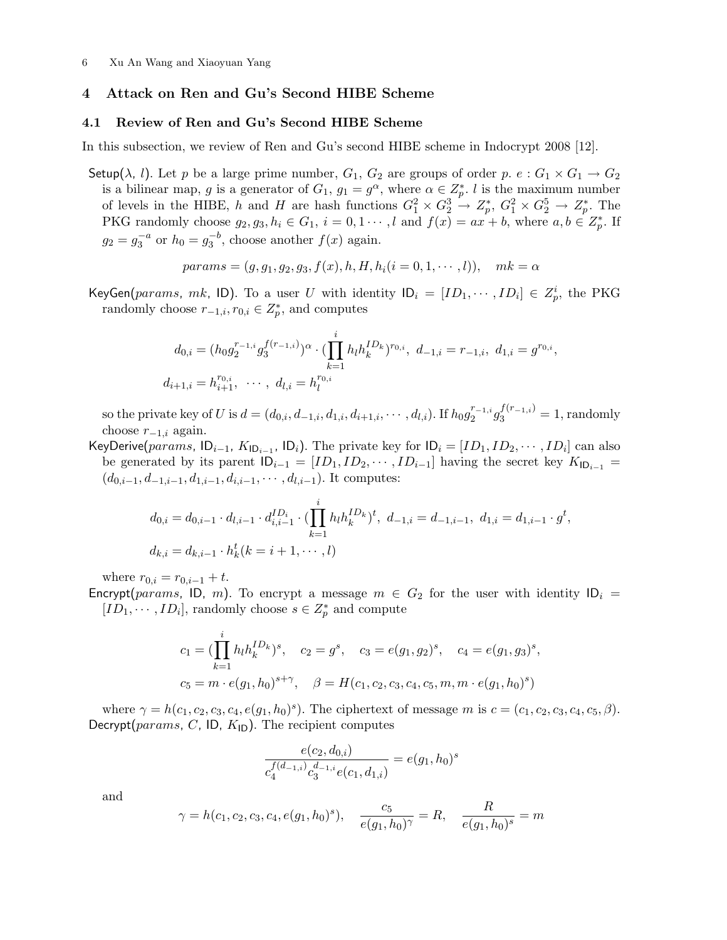#### 4 Attack on Ren and Gu's Second HIBE Scheme

#### 4.1 Review of Ren and Gu's Second HIBE Scheme

In this subsection, we review of Ren and Gu's second HIBE scheme in Indocrypt 2008 [12].

Setup( $\lambda$ , l). Let p be a large prime number,  $G_1$ ,  $G_2$  are groups of order p. e:  $G_1 \times G_1 \rightarrow G_2$ is a bilinear map, g is a generator of  $G_1$ ,  $g_1 = g^{\alpha}$ , where  $\alpha \in \mathbb{Z}_p^*$ . l is the maximum number of levels in the HIBE, h and H are hash functions  $G_1^2 \times G_2^3 \to Z_p^*$ ,  $G_1^2 \times G_2^5 \to Z_p^*$ . The PKG randomly choose  $g_2, g_3, h_i \in G_1$ ,  $i = 0, 1 \cdots, l$  and  $f(x) = ax + b$ , where  $a, b \in Z_p^*$ . If  $g_2 = g_3^{-a}$  or  $h_0 = g_3^{-b}$ , choose another  $f(x)$  again.

$$
params = (g, g_1, g_2, g_3, f(x), h, H, h_i(i = 0, 1, \dots, l)), \quad mk = \alpha
$$

KeyGen(params, mk, ID). To a user U with identity  $ID_i = [ID_1, \cdots, ID_i] \in Z_p^i$ , the PKG randomly choose  $r_{-1,i}, r_{0,i} \in Z_p^*$ , and computes

$$
d_{0,i} = (h_0 g_2^{r_{-1,i}} g_3^{f(r_{-1,i})})^{\alpha} \cdot (\prod_{k=1}^i h_l h_k^{ID_k})^{r_{0,i}}, d_{-1,i} = r_{-1,i}, d_{1,i} = g^{r_{0,i}},
$$
  

$$
d_{i+1,i} = h_{i+1}^{r_{0,i}}, \cdots, d_{l,i} = h_l^{r_{0,i}}
$$

so the private key of U is  $d = (d_{0,i}, d_{-1,i}, d_{1,i}, d_{i+1,i}, \cdots, d_{l,i})$ . If  $h_0 g_2^{r_{-1,i}}$  $j_2^{r_{-1,i}}g_3^{f(r_{-1,i})}=1$ , randomly choose  $r_{-1,i}$  again.

KeyDerive(params,  $ID_{i-1}$ ,  $K_{ID_{i-1}}$ ,  $ID_i$ ). The private key for  $ID_i = [ID_1, ID_2, \cdots, ID_i]$  can also be generated by its parent  $ID_{i-1} = [ID_1, ID_2, \cdots, ID_{i-1}]$  having the secret key  $K_{ID_{i-1}} =$  $(d_{0,i-1}, d_{-1,i-1}, d_{1,i-1}, d_{i,i-1}, \cdots, d_{l,i-1})$ . It computes:

$$
d_{0,i} = d_{0,i-1} \cdot d_{l,i-1} \cdot d_{i,i-1}^{ID_i} \cdot (\prod_{k=1}^i h_l h_k^{ID_k})^t, \ d_{-1,i} = d_{-1,i-1}, \ d_{1,i} = d_{1,i-1} \cdot g^t,
$$
  

$$
d_{k,i} = d_{k,i-1} \cdot h_k^t (k = i+1, \cdots, l)
$$

where  $r_{0,i} = r_{0,i-1} + t$ .

Encrypt(params, ID, m). To encrypt a message  $m \in G_2$  for the user with identity  $ID_i$  =  $[ID_1, \cdots, ID_i]$ , randomly choose  $s \in Z_p^*$  and compute

$$
c_1 = (\prod_{k=1}^i h_l h_k^{ID_k})^s, \quad c_2 = g^s, \quad c_3 = e(g_1, g_2)^s, \quad c_4 = e(g_1, g_3)^s,
$$
  

$$
c_5 = m \cdot e(g_1, h_0)^{s + \gamma}, \quad \beta = H(c_1, c_2, c_3, c_4, c_5, m, m \cdot e(g_1, h_0)^s)
$$

where  $\gamma = h(c_1, c_2, c_3, c_4, e(g_1, h_0)^s)$ . The ciphertext of message m is  $c = (c_1, c_2, c_3, c_4, c_5, \beta)$ . Decrypt( $params$ , C, ID,  $K_{\text{ID}}$ ). The recipient computes

$$
\frac{e(c_2,d_{0,i})}{c_4^{f(d_{-1,i})}c_3^{d_{-1,i}}e(c_1,d_{1,i})} = e(g_1,h_0)^s
$$

and

$$
\gamma = h(c_1, c_2, c_3, c_4, e(g_1, h_0)^s), \quad \frac{c_5}{e(g_1, h_0)^\gamma} = R, \quad \frac{R}{e(g_1, h_0)^s} = m
$$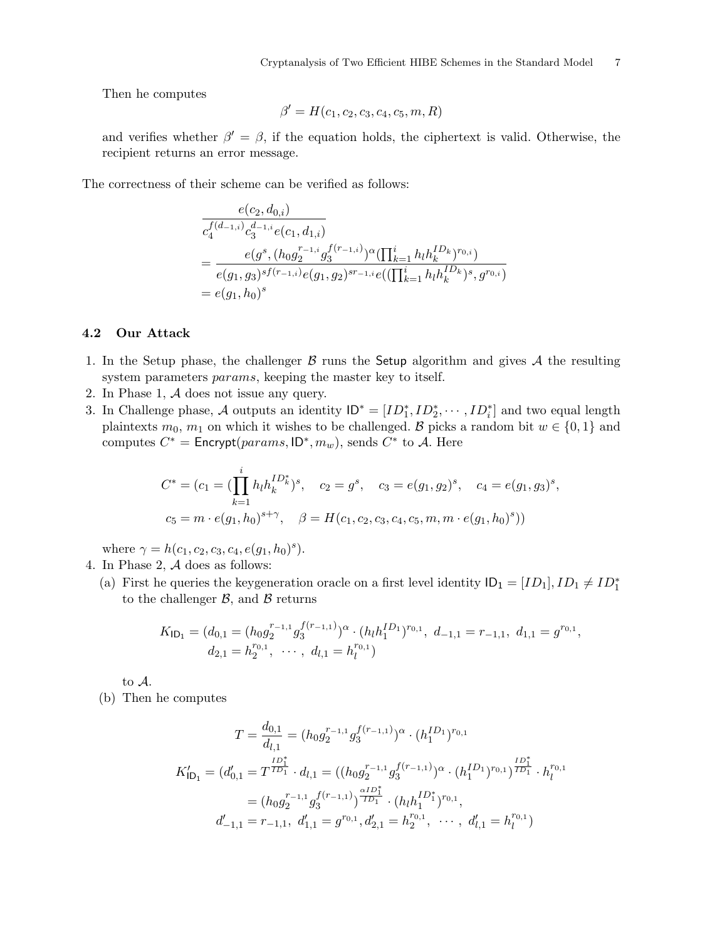Then he computes

$$
\beta' = H(c_1, c_2, c_3, c_4, c_5, m, R)
$$

and verifies whether  $\beta' = \beta$ , if the equation holds, the ciphertext is valid. Otherwise, the recipient returns an error message.

The correctness of their scheme can be verified as follows:

$$
e(c_2, d_{0,i})
$$
  
\n
$$
c_4^{f(d_{-1,i})} c_3^{d_{-1,i}} e(c_1, d_{1,i})
$$
  
\n
$$
= e(g^s, (h_0 g_2^{r_{-1,i}} g_3^{f(r_{-1,i})})^{\alpha} (\prod_{k=1}^i h_l h_k^{ID_k})^{r_{0,i}})
$$
  
\n
$$
= e(g_1, g_3)^{sf(r_{-1,i})} e(g_1, g_2)^{sr_{-1,i}} e((\prod_{k=1}^i h_l h_k^{ID_k})^s, g^{r_{0,i}})
$$
  
\n
$$
= e(g_1, h_0)^s
$$

# 4.2 Our Attack

- 1. In the Setup phase, the challenger  $\beta$  runs the Setup algorithm and gives  $\mathcal A$  the resulting system parameters *params*, keeping the master key to itself.
- 2. In Phase 1, A does not issue any query.
- 3. In Challenge phase, A outputs an identity  $ID^* = [ID_1^*, ID_2^*, \cdots, ID_i^*]$  and two equal length plaintexts  $m_0$ ,  $m_1$  on which it wishes to be challenged. B picks a random bit  $w \in \{0, 1\}$  and computes  $C^* =$  Encrypt( $params$ , ID<sup>\*</sup>,  $m_w$ ), sends  $C^*$  to A. Here

$$
C^* = (c_1 = (\prod_{k=1}^i h_l h_k^{ID_k^*})^s, \quad c_2 = g^s, \quad c_3 = e(g_1, g_2)^s, \quad c_4 = e(g_1, g_3)^s,
$$
  

$$
c_5 = m \cdot e(g_1, h_0)^{s+\gamma}, \quad \beta = H(c_1, c_2, c_3, c_4, c_5, m, m \cdot e(g_1, h_0)^s))
$$

where  $\gamma = h(c_1, c_2, c_3, c_4, e(g_1, h_0)^s)$ .

- 4. In Phase 2, A does as follows:
	- (a) First he queries the keygeneration oracle on a first level identity  $ID_1 = [ID_1], ID_1 \neq ID_1^*$ to the challenger  $\beta$ , and  $\beta$  returns

$$
K_{\mathsf{ID}_1} = (d_{0,1} = (h_0 g_2^{r_{-1,1}} g_3^{f(r_{-1,1})})^{\alpha} \cdot (h_l h_1^{ID_1})^{r_{0,1}}, d_{-1,1} = r_{-1,1}, d_{1,1} = g^{r_{0,1}},
$$
  

$$
d_{2,1} = h_2^{r_{0,1}}, \cdots, d_{l,1} = h_l^{r_{0,1}})
$$

to A.

(b) Then he computes

$$
T = \frac{d_{0,1}}{d_{l,1}} = (h_0 g_2^{r_{-1,1}} g_3^{f(r_{-1,1})})^{\alpha} \cdot (h_1^{ID_1})^{r_{0,1}}
$$
  
\n
$$
K'_{\mathsf{ID}_1} = (d'_{0,1} = T^{\frac{ID_1^*}{ID_1}} \cdot d_{l,1} = ((h_0 g_2^{r_{-1,1}} g_3^{f(r_{-1,1})})^{\alpha} \cdot (h_1^{ID_1})^{r_{0,1}})^{\frac{ID_1^*}{ID_1}} \cdot h_l^{r_{0,1}}
$$
  
\n
$$
= (h_0 g_2^{r_{-1,1}} g_3^{f(r_{-1,1})})^{\frac{\alpha ID_1^*}{ID_1}} \cdot (h_l h_1^{ID_1^*})^{r_{0,1}},
$$
  
\n
$$
d'_{-1,1} = r_{-1,1}, d'_{1,1} = g^{r_{0,1}}, d'_{2,1} = h_2^{r_{0,1}}, \cdots, d'_{l,1} = h_l^{r_{0,1}})
$$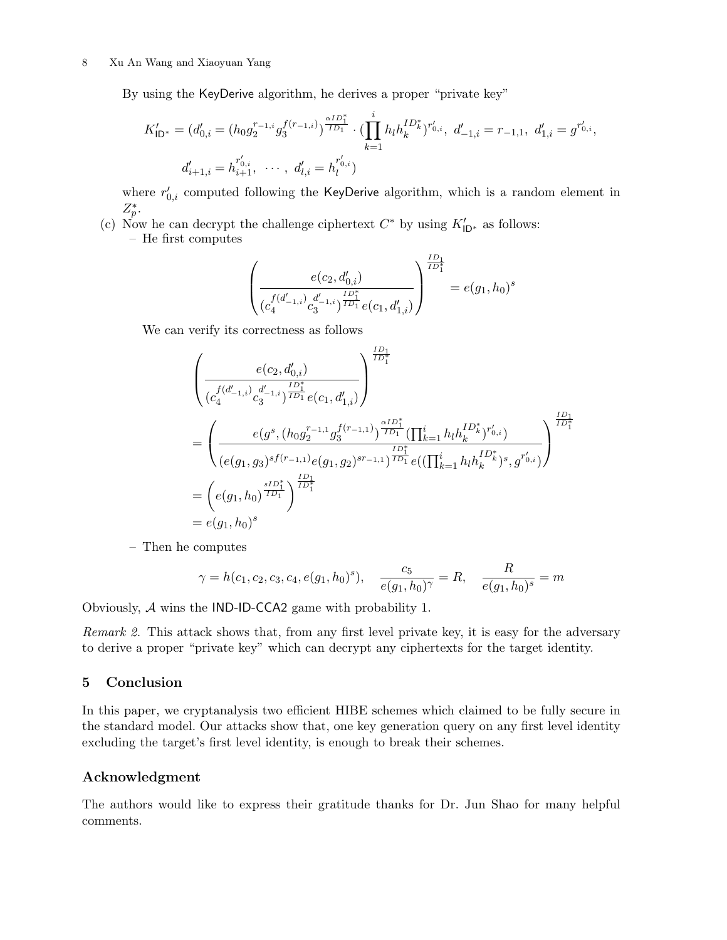By using the KeyDerive algorithm, he derives a proper "private key"

$$
K'_{\mathsf{ID}^*} = (d'_{0,i} = (h_0 g_2^{r_{-1,i}} g_3^{f(r_{-1,i})})^{\frac{\alpha I D_1^*}{I D_1}} \cdot (\prod_{k=1}^i h_l h_k^{I D_k^*})^{r'_{0,i}}, d'_{-1,i} = r_{-1,1}, d'_{1,i} = g^{r'_{0,i}},
$$
  

$$
d'_{i+1,i} = h^{r'_{0,i}}_{i+1}, \cdots, d'_{l,i} = h^{r'_{0,i}}_{l}
$$

where  $r'_{0,i}$  computed following the KeyDerive algorithm, which is a random element in  $Z_p^*$ .

(c) Now he can decrypt the challenge ciphertext  $C^*$  by using  $K'_{\mathsf{ID}^*}$  as follows:

– He first computes

$$
\left(\frac{e(c_2,d'_{0,i})}{(c_4^{f(d'_{-1,i})}c_3^{d'_{-1,i}})^{\frac{ID_1^*}{ID_1}}e(c_1,d'_{1,i})}\right)^{\frac{ID_1^*}{ID_1^*}}=e(g_1,h_0)^s
$$

We can verify its correctness as follows

$$
\begin{aligned}\n&\left(\frac{e(c_2,d'_{0,i})}{(c_4^{f(d'_{-1,i})}c_3^{d'_{-1,i}})^{\frac{ID_1^*}{ID_1}}e(c_1,d'_{1,i})}\right)^{\frac{ID_1^*}{ID_1^*}} \\
&= \left(\frac{e(g^s,(h_0g_2^{r_{-1,1}}g_3^{f(r_{-1,1})})^{\frac{\alpha ID_1^*}{ID_1}}(\prod_{k=1}^i h_lh_k^{ID_k^*})^{r'_{0,i}})}{(e(g_1,g_3)^{sf(r_{-1,1})}e(g_1,g_2)^{sr_{-1,1}})^{\frac{ID_1^*}{ID_1}}e((\prod_{k=1}^i h_lh_k^{ID_k^*})^s,g^{r'_{0,i}})}\right)^{\frac{ID_1^*}{ID_1^*}} \\
&= \left(e(g_1,h_0)^{\frac{sID_1^*}{ID_1}}\right)^{\frac{ID_1^*}{ID_1^*}} \\
&= e(g_1,h_0)^s\n\end{aligned}
$$

– Then he computes

$$
\gamma = h(c_1, c_2, c_3, c_4, e(g_1, h_0)^s), \quad \frac{c_5}{e(g_1, h_0)^{\gamma}} = R, \quad \frac{R}{e(g_1, h_0)^s} = m
$$

Obviously, A wins the IND-ID-CCA2 game with probability 1.

Remark 2. This attack shows that, from any first level private key, it is easy for the adversary to derive a proper "private key" which can decrypt any ciphertexts for the target identity.

### 5 Conclusion

In this paper, we cryptanalysis two efficient HIBE schemes which claimed to be fully secure in the standard model. Our attacks show that, one key generation query on any first level identity excluding the target's first level identity, is enough to break their schemes.

### Acknowledgment

The authors would like to express their gratitude thanks for Dr. Jun Shao for many helpful comments.